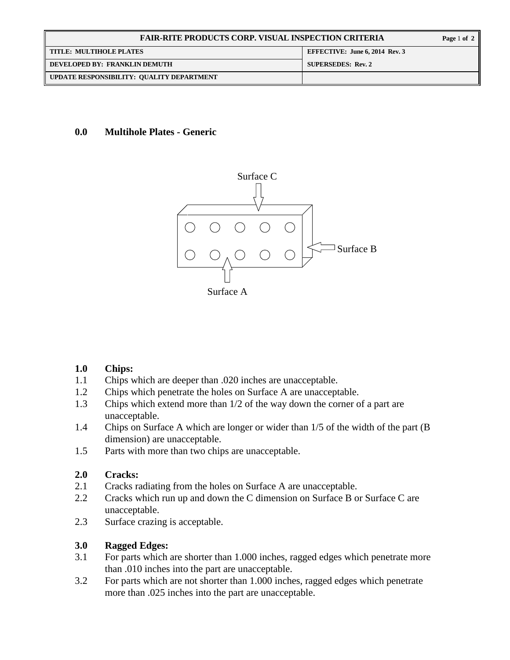| <b>FAIR-RITE PRODUCTS CORP. VISUAL INSPECTION CRITERIA</b> |                                       |
|------------------------------------------------------------|---------------------------------------|
| <b>TITLE: MULTIHOLE PLATES</b>                             | <b>EFFECTIVE: June 6, 2014 Rev. 3</b> |
| DEVELOPED BY: FRANKLIN DEMUTH                              | <b>SUPERSEDES: Rev. 2</b>             |
| UPDATE RESPONSIBILITY: QUALITY DEPARTMENT                  |                                       |

### **0.0 Multihole Plates - Generic**



#### **1.0 Chips:**

- 1.1 Chips which are deeper than .020 inches are unacceptable.
- 1.2 Chips which penetrate the holes on Surface A are unacceptable.
- 1.3 Chips which extend more than 1/2 of the way down the corner of a part are unacceptable.
- 1.4 Chips on Surface A which are longer or wider than 1/5 of the width of the part (B dimension) are unacceptable.
- 1.5 Parts with more than two chips are unacceptable.

#### **2.0 Cracks:**

- 2.1 Cracks radiating from the holes on Surface A are unacceptable.
- 2.2 Cracks which run up and down the C dimension on Surface B or Surface C are unacceptable.
- 2.3 Surface crazing is acceptable.

### **3.0 Ragged Edges:**

- 3.1 For parts which are shorter than 1.000 inches, ragged edges which penetrate more than .010 inches into the part are unacceptable.
- 3.2 For parts which are not shorter than 1.000 inches, ragged edges which penetrate more than .025 inches into the part are unacceptable.